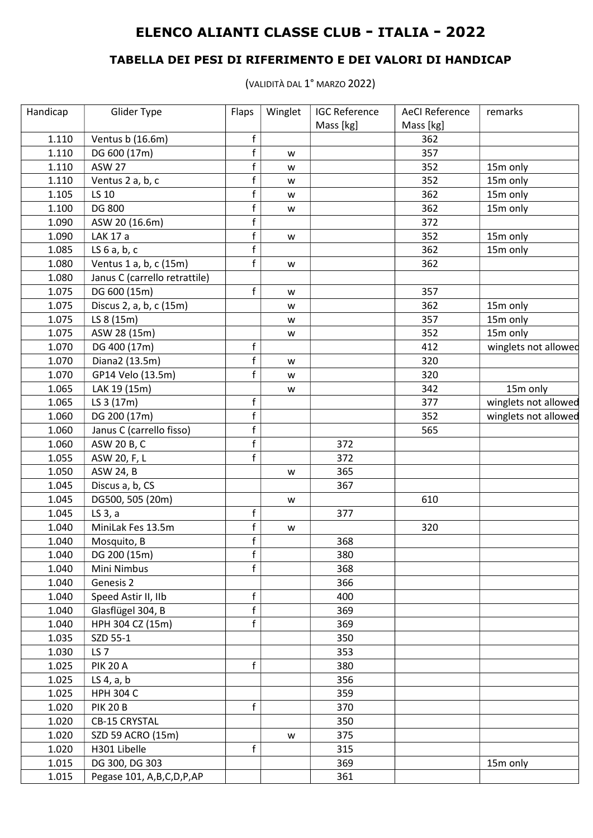## ELENCO ALIANTI CLASSE CLUB - ITALIA - 2022

## TABELLA DEI PESI DI RIFERIMENTO E DEI VALORI DI HANDICAP

(VALIDITÀ DAL 1° MARZO 2022)

| Handicap | Glider Type                   | Flaps        | Winglet | <b>IGC Reference</b> | <b>AeCI Reference</b> | remarks              |
|----------|-------------------------------|--------------|---------|----------------------|-----------------------|----------------------|
|          |                               |              |         | Mass [kg]            | Mass [kg]             |                      |
| 1.110    | Ventus b (16.6m)              | f            |         |                      | 362                   |                      |
| 1.110    | DG 600 (17m)                  | f            | W       |                      | 357                   |                      |
| 1.110    | <b>ASW 27</b>                 | f            | w       |                      | 352                   | 15m only             |
| 1.110    | Ventus 2 a, b, c              | f            | W       |                      | 352                   | 15m only             |
| 1.105    | LS 10                         | f            | W       |                      | 362                   | 15m only             |
| 1.100    | <b>DG 800</b>                 | $\mathbf{f}$ | w       |                      | 362                   | 15m only             |
| 1.090    | ASW 20 (16.6m)                | f            |         |                      | 372                   |                      |
| 1.090    | LAK 17 a                      | f            | W       |                      | 352                   | 15m only             |
| 1.085    | LS $6a, b, c$                 | $\mathsf{f}$ |         |                      | 362                   | 15m only             |
| 1.080    | Ventus 1 a, b, c (15m)        | $\mathsf{f}$ | W       |                      | 362                   |                      |
| 1.080    | Janus C (carrello retrattile) |              |         |                      |                       |                      |
| 1.075    | DG 600 (15m)                  | f            | w       |                      | 357                   |                      |
| 1.075    | Discus 2, a, b, c (15m)       |              | w       |                      | 362                   | 15m only             |
| 1.075    | LS 8 (15m)                    |              | W       |                      | 357                   | 15m only             |
| 1.075    | ASW 28 (15m)                  |              | w       |                      | 352                   | 15m only             |
| 1.070    | DG 400 (17m)                  | $\mathsf{f}$ |         |                      | 412                   | winglets not allowed |
| 1.070    | Diana2 (13.5m)                | f            | w       |                      | 320                   |                      |
| 1.070    | GP14 Velo (13.5m)             | f            | w       |                      | 320                   |                      |
| 1.065    | LAK 19 (15m)                  |              | W       |                      | 342                   | 15m only             |
| 1.065    | LS 3 (17m)                    | $\mathsf{f}$ |         |                      | 377                   | winglets not allowed |
| 1.060    | DG 200 (17m)                  | f            |         |                      | 352                   | winglets not allowed |
| 1.060    | Janus C (carrello fisso)      | $\mathsf{f}$ |         |                      | 565                   |                      |
| 1.060    | ASW 20 B, C                   | f            |         | 372                  |                       |                      |
| 1.055    | ASW 20, F, L                  | $\mathbf{f}$ |         | 372                  |                       |                      |
| 1.050    | ASW 24, B                     |              | W       | 365                  |                       |                      |
| 1.045    | Discus a, b, CS               |              |         | 367                  |                       |                      |
| 1.045    | DG500, 505 (20m)              |              | W       |                      | 610                   |                      |
| 1.045    | LS 3, a                       | f            |         | 377                  |                       |                      |
| 1.040    | MiniLak Fes 13.5m             | f            | W       |                      | 320                   |                      |
| 1.040    | Mosquito, B                   | f            |         | 368                  |                       |                      |
| 1.040    | DG 200 (15m)                  | $\mathsf{f}$ |         | 380                  |                       |                      |
| 1.040    | Mini Nimbus                   | $\mathsf{f}$ |         | 368                  |                       |                      |
| 1.040    | Genesis 2                     |              |         | 366                  |                       |                      |
| 1.040    | Speed Astir II, IIb           | f            |         | 400                  |                       |                      |
| 1.040    | Glasflügel 304, B             | $\mathsf{f}$ |         | 369                  |                       |                      |
| 1.040    | HPH 304 CZ (15m)              | f            |         | 369                  |                       |                      |
| 1.035    | SZD 55-1                      |              |         | 350                  |                       |                      |
| 1.030    | LS <sub>7</sub>               |              |         | 353                  |                       |                      |
| 1.025    | <b>PIK 20 A</b>               | f            |         | 380                  |                       |                      |
| 1.025    | LS $4$ , $a$ , $b$            |              |         | 356                  |                       |                      |
| 1.025    | <b>HPH 304 C</b>              |              |         | 359                  |                       |                      |
| 1.020    | <b>PIK 20 B</b>               | f            |         | 370                  |                       |                      |
| 1.020    | CB-15 CRYSTAL                 |              |         | 350                  |                       |                      |
| 1.020    | SZD 59 ACRO (15m)             |              | W       | 375                  |                       |                      |
| 1.020    | H301 Libelle                  | f            |         | 315                  |                       |                      |
| 1.015    | DG 300, DG 303                |              |         | 369                  |                       | 15m only             |
| 1.015    | Pegase 101, A,B,C,D,P,AP      |              |         | 361                  |                       |                      |